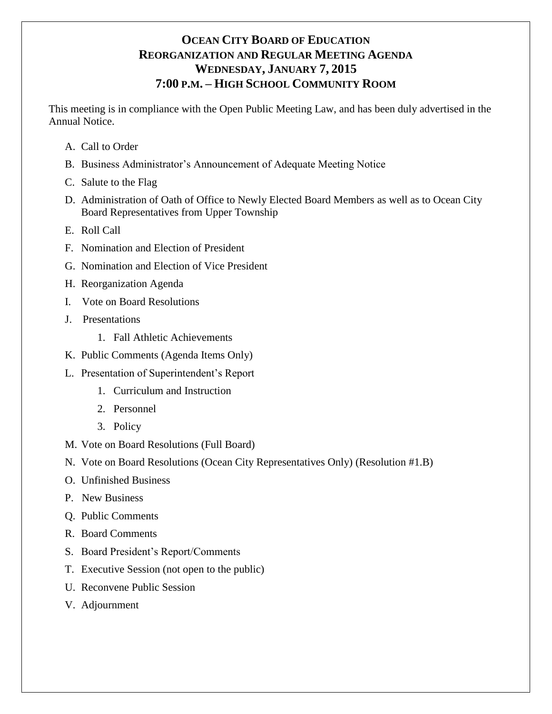# **OCEAN CITY BOARD OF EDUCATION REORGANIZATION AND REGULAR MEETING AGENDA WEDNESDAY, JANUARY 7, 2015 7:00 P.M. – HIGH SCHOOL COMMUNITY ROOM**

This meeting is in compliance with the Open Public Meeting Law, and has been duly advertised in the Annual Notice.

- A. Call to Order
- B. Business Administrator's Announcement of Adequate Meeting Notice
- C. Salute to the Flag
- D. Administration of Oath of Office to Newly Elected Board Members as well as to Ocean City Board Representatives from Upper Township
- E. Roll Call
- F. Nomination and Election of President
- G. Nomination and Election of Vice President
- H. Reorganization Agenda
- I. Vote on Board Resolutions
- J. Presentations
	- 1. Fall Athletic Achievements
- K. Public Comments (Agenda Items Only)
- L. Presentation of Superintendent's Report
	- 1. Curriculum and Instruction
	- 2. Personnel
	- 3. Policy
- M. Vote on Board Resolutions (Full Board)
- N. Vote on Board Resolutions (Ocean City Representatives Only) (Resolution #1.B)
- O. Unfinished Business
- P. New Business
- Q. Public Comments
- R. Board Comments
- S. Board President's Report/Comments
- T. Executive Session (not open to the public)
- U. Reconvene Public Session
- V. Adjournment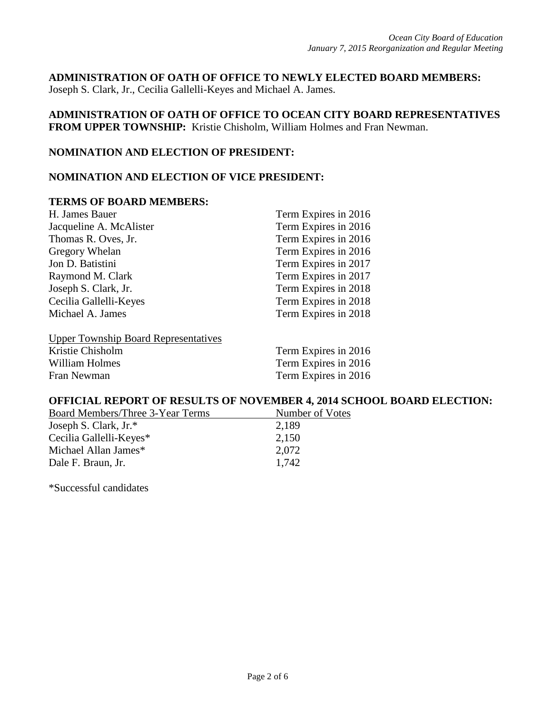**ADMINISTRATION OF OATH OF OFFICE TO NEWLY ELECTED BOARD MEMBERS:**  Joseph S. Clark, Jr., Cecilia Gallelli-Keyes and Michael A. James.

**ADMINISTRATION OF OATH OF OFFICE TO OCEAN CITY BOARD REPRESENTATIVES FROM UPPER TOWNSHIP:** Kristie Chisholm, William Holmes and Fran Newman.

### **NOMINATION AND ELECTION OF PRESIDENT:**

### **NOMINATION AND ELECTION OF VICE PRESIDENT:**

#### **TERMS OF BOARD MEMBERS:**

| H. James Bauer                              | Term Expires in 2016 |
|---------------------------------------------|----------------------|
| Jacqueline A. McAlister                     | Term Expires in 2016 |
| Thomas R. Oves, Jr.                         | Term Expires in 2016 |
| Gregory Whelan                              | Term Expires in 2016 |
| Jon D. Batistini                            | Term Expires in 2017 |
| Raymond M. Clark                            | Term Expires in 2017 |
| Joseph S. Clark, Jr.                        | Term Expires in 2018 |
| Cecilia Gallelli-Keyes                      | Term Expires in 2018 |
| Michael A. James                            | Term Expires in 2018 |
| <b>Upper Township Board Representatives</b> |                      |
| Kristie Chisholm                            | Term Expires in 2016 |
| William Holmes                              | Term Expires in 2016 |

Fran Newman Term Expires in 2016

## **OFFICIAL REPORT OF RESULTS OF NOVEMBER 4, 2014 SCHOOL BOARD ELECTION:**

| Board Members/Three 3-Year Terms | Number of Votes |
|----------------------------------|-----------------|
| Joseph S. Clark, Jr.*            | 2,189           |
| Cecilia Gallelli-Keyes*          | 2,150           |
| Michael Allan James*             | 2,072           |
| Dale F. Braun, Jr.               | 1.742           |

\*Successful candidates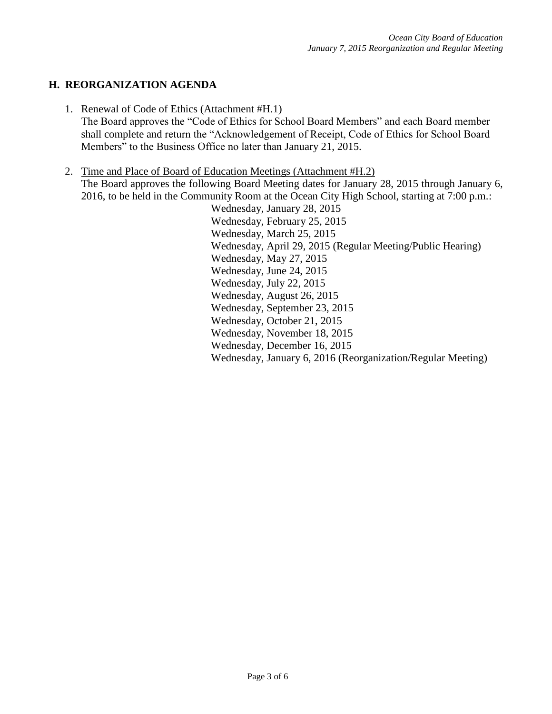# **H. REORGANIZATION AGENDA**

1. Renewal of Code of Ethics (Attachment #H.1)

The Board approves the "Code of Ethics for School Board Members" and each Board member shall complete and return the "Acknowledgement of Receipt, Code of Ethics for School Board Members" to the Business Office no later than January 21, 2015.

2. Time and Place of Board of Education Meetings (Attachment #H.2)

The Board approves the following Board Meeting dates for January 28, 2015 through January 6, 2016, to be held in the Community Room at the Ocean City High School, starting at 7:00 p.m.:

Wednesday, January 28, 2015 Wednesday, February 25, 2015 Wednesday, March 25, 2015 Wednesday, April 29, 2015 (Regular Meeting/Public Hearing) Wednesday, May 27, 2015 Wednesday, June 24, 2015 Wednesday, July 22, 2015 Wednesday, August 26, 2015 Wednesday, September 23, 2015 Wednesday, October 21, 2015 Wednesday, November 18, 2015 Wednesday, December 16, 2015 Wednesday, January 6, 2016 (Reorganization/Regular Meeting)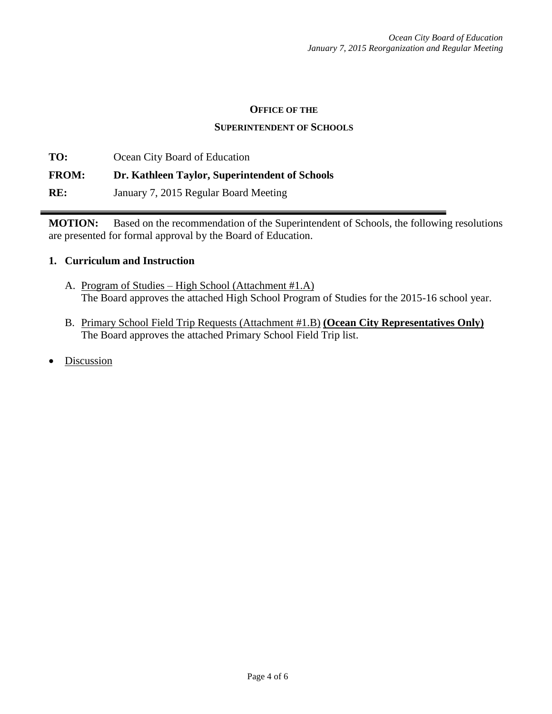#### **OFFICE OF THE**

#### **SUPERINTENDENT OF SCHOOLS**

**TO:** Ocean City Board of Education **FROM: Dr. Kathleen Taylor, Superintendent of Schools RE:** January 7, 2015 Regular Board Meeting

**MOTION:** Based on the recommendation of the Superintendent of Schools, the following resolutions are presented for formal approval by the Board of Education.

### **1. Curriculum and Instruction**

- A. Program of Studies High School (Attachment #1.A) The Board approves the attached High School Program of Studies for the 2015-16 school year.
- B. Primary School Field Trip Requests (Attachment #1.B) **(Ocean City Representatives Only)** The Board approves the attached Primary School Field Trip list.
- Discussion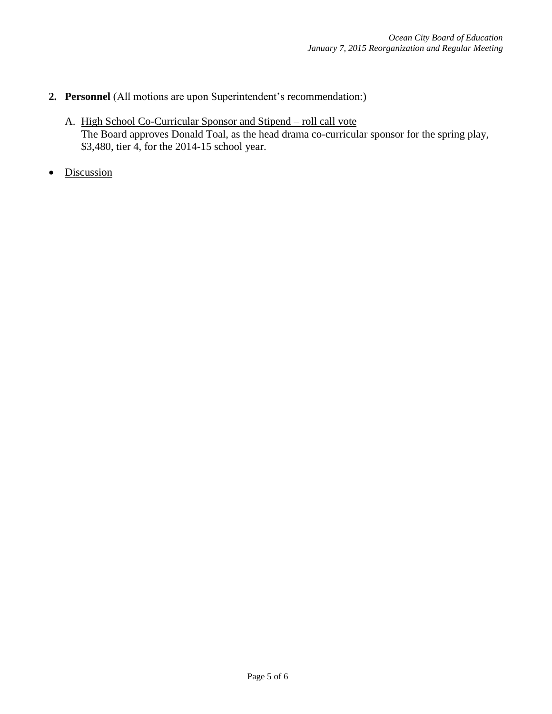# **2. Personnel** (All motions are upon Superintendent's recommendation:)

- A. High School Co-Curricular Sponsor and Stipend roll call vote The Board approves Donald Toal, as the head drama co-curricular sponsor for the spring play, \$3,480, tier 4, for the 2014-15 school year.
- Discussion